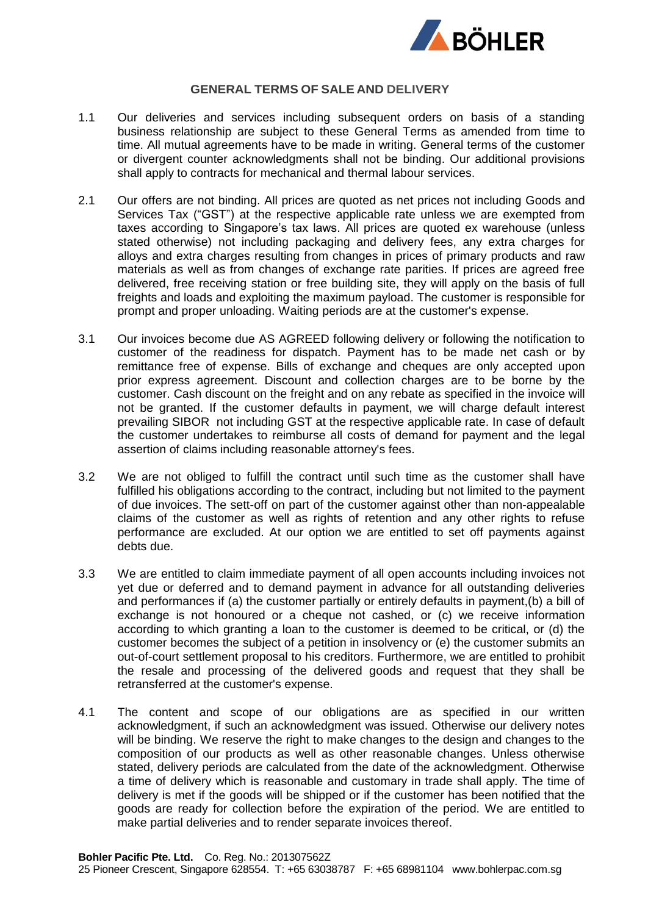

## **GENERAL TERMS OF SALE AND DELIVERY**

- 1.1 Our deliveries and services including subsequent orders on basis of a standing business relationship are subject to these General Terms as amended from time to time. All mutual agreements have to be made in writing. General terms of the customer or divergent counter acknowledgments shall not be binding. Our additional provisions shall apply to contracts for mechanical and thermal labour services.
- 2.1 Our offers are not binding. All prices are quoted as net prices not including Goods and Services Tax ("GST") at the respective applicable rate unless we are exempted from taxes according to Singapore's tax laws. All prices are quoted ex warehouse (unless stated otherwise) not including packaging and delivery fees, any extra charges for alloys and extra charges resulting from changes in prices of primary products and raw materials as well as from changes of exchange rate parities. If prices are agreed free delivered, free receiving station or free building site, they will apply on the basis of full freights and loads and exploiting the maximum payload. The customer is responsible for prompt and proper unloading. Waiting periods are at the customer's expense.
- 3.1 Our invoices become due AS AGREED following delivery or following the notification to customer of the readiness for dispatch. Payment has to be made net cash or by remittance free of expense. Bills of exchange and cheques are only accepted upon prior express agreement. Discount and collection charges are to be borne by the customer. Cash discount on the freight and on any rebate as specified in the invoice will not be granted. If the customer defaults in payment, we will charge default interest prevailing SIBOR not including GST at the respective applicable rate. In case of default the customer undertakes to reimburse all costs of demand for payment and the legal assertion of claims including reasonable attorney's fees.
- 3.2 We are not obliged to fulfill the contract until such time as the customer shall have fulfilled his obligations according to the contract, including but not limited to the payment of due invoices. The sett-off on part of the customer against other than non-appealable claims of the customer as well as rights of retention and any other rights to refuse performance are excluded. At our option we are entitled to set off payments against debts due.
- 3.3 We are entitled to claim immediate payment of all open accounts including invoices not yet due or deferred and to demand payment in advance for all outstanding deliveries and performances if (a) the customer partially or entirely defaults in payment,(b) a bill of exchange is not honoured or a cheque not cashed, or (c) we receive information according to which granting a loan to the customer is deemed to be critical, or (d) the customer becomes the subject of a petition in insolvency or (e) the customer submits an out-of-court settlement proposal to his creditors. Furthermore, we are entitled to prohibit the resale and processing of the delivered goods and request that they shall be retransferred at the customer's expense.
- 4.1 The content and scope of our obligations are as specified in our written acknowledgment, if such an acknowledgment was issued. Otherwise our delivery notes will be binding. We reserve the right to make changes to the design and changes to the composition of our products as well as other reasonable changes. Unless otherwise stated, delivery periods are calculated from the date of the acknowledgment. Otherwise a time of delivery which is reasonable and customary in trade shall apply. The time of delivery is met if the goods will be shipped or if the customer has been notified that the goods are ready for collection before the expiration of the period. We are entitled to make partial deliveries and to render separate invoices thereof.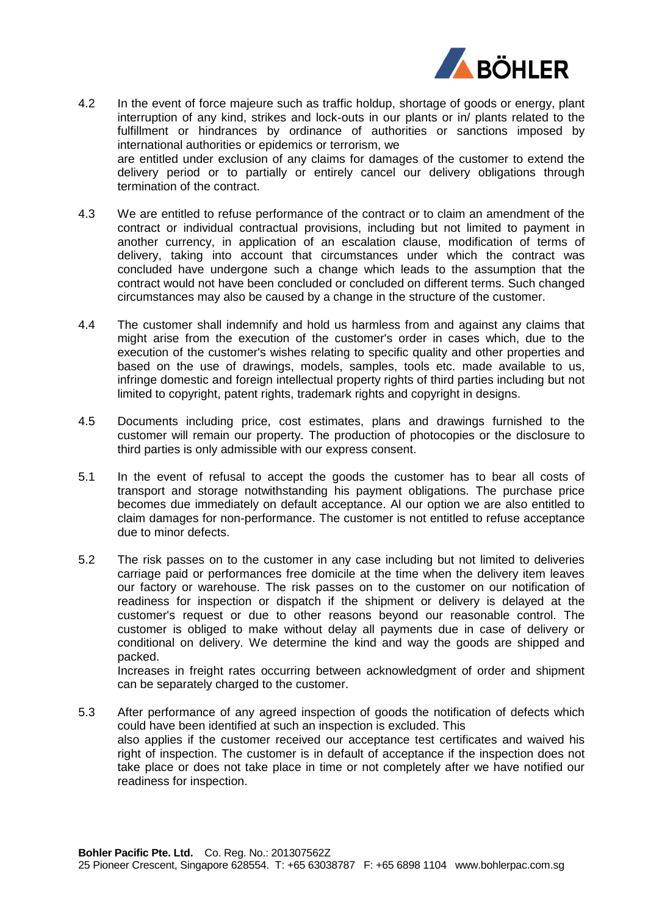

- 4.2 In the event of force majeure such as traffic holdup, shortage of goods or energy, plant interruption of any kind, strikes and lock-outs in our plants or in/ plants related to the fulfillment or hindrances by ordinance of authorities or sanctions imposed by international authorities or epidemics or terrorism, we are entitled under exclusion of any claims for damages of the customer to extend the delivery period or to partially or entirely cancel our delivery obligations through termination of the contract.
- 4.3 We are entitled to refuse performance of the contract or to claim an amendment of the contract or individual contractual provisions, including but not limited to payment in another currency, in application of an escalation clause, modification of terms of delivery, taking into account that circumstances under which the contract was concluded have undergone such a change which leads to the assumption that the contract would not have been concluded or concluded on different terms. Such changed circumstances may also be caused by a change in the structure of the customer.
- 4.4 The customer shall indemnify and hold us harmless from and against any claims that might arise from the execution of the customer's order in cases which, due to the execution of the customer's wishes relating to specific quality and other properties and based on the use of drawings, models, samples, tools etc. made available to us, infringe domestic and foreign intellectual property rights of third parties including but not limited to copyright, patent rights, trademark rights and copyright in designs.
- 4.5 Documents including price, cost estimates, plans and drawings furnished to the customer will remain our property. The production of photocopies or the disclosure to third parties is only admissible with our express consent.
- 5.1 In the event of refusal to accept the goods the customer has to bear all costs of transport and storage notwithstanding his payment obligations. The purchase price becomes due immediately on default acceptance. Al our option we are also entitled to claim damages for non-performance. The customer is not entitled to refuse acceptance due to minor defects.
- 5.2 The risk passes on to the customer in any case including but not limited to deliveries carriage paid or performances free domicile at the time when the delivery item leaves our factory or warehouse. The risk passes on to the customer on our notification of readiness for inspection or dispatch if the shipment or delivery is delayed at the customer's request or due to other reasons beyond our reasonable control. The customer is obliged to make without delay all payments due in case of delivery or conditional on delivery. We determine the kind and way the goods are shipped and packed.

Increases in freight rates occurring between acknowledgment of order and shipment can be separately charged to the customer.

5.3 After performance of any agreed inspection of goods the notification of defects which could have been identified at such an inspection is excluded. This also applies if the customer received our acceptance test certificates and waived his right of inspection. The customer is in default of acceptance if the inspection does not take place or does not take place in time or not completely after we have notified our readiness for inspection.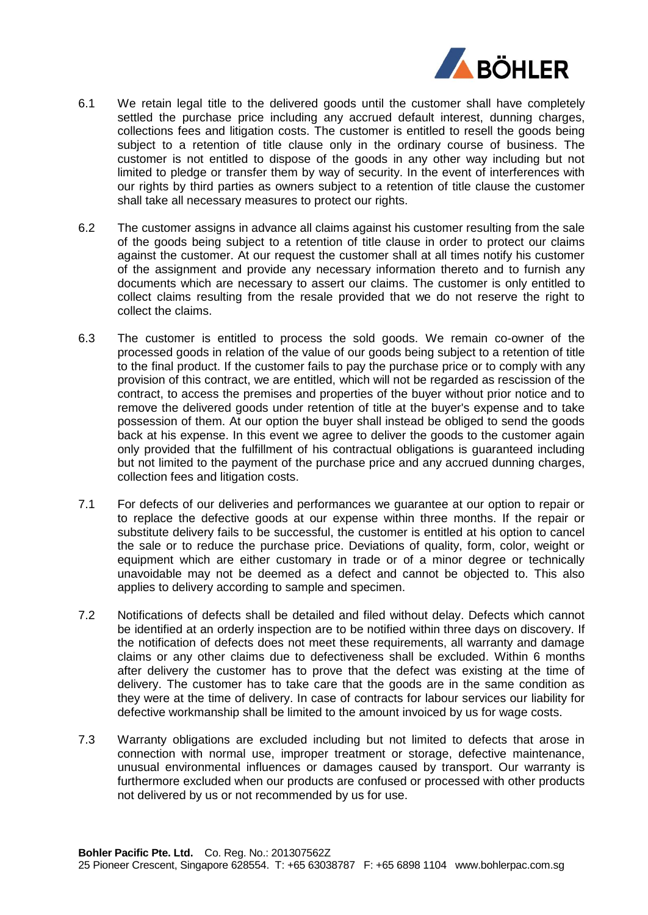

- 6.1 We retain legal title to the delivered goods until the customer shall have completely settled the purchase price including any accrued default interest, dunning charges, collections fees and litigation costs. The customer is entitled to resell the goods being subject to a retention of title clause only in the ordinary course of business. The customer is not entitled to dispose of the goods in any other way including but not limited to pledge or transfer them by way of security. In the event of interferences with our rights by third parties as owners subject to a retention of title clause the customer shall take all necessary measures to protect our rights.
- 6.2 The customer assigns in advance all claims against his customer resulting from the sale of the goods being subject to a retention of title clause in order to protect our claims against the customer. At our request the customer shall at all times notify his customer of the assignment and provide any necessary information thereto and to furnish any documents which are necessary to assert our claims. The customer is only entitled to collect claims resulting from the resale provided that we do not reserve the right to collect the claims.
- 6.3 The customer is entitled to process the sold goods. We remain co-owner of the processed goods in relation of the value of our goods being subject to a retention of title to the final product. If the customer fails to pay the purchase price or to comply with any provision of this contract, we are entitled, which will not be regarded as rescission of the contract, to access the premises and properties of the buyer without prior notice and to remove the delivered goods under retention of title at the buyer's expense and to take possession of them. At our option the buyer shall instead be obliged to send the goods back at his expense. In this event we agree to deliver the goods to the customer again only provided that the fulfillment of his contractual obligations is guaranteed including but not limited to the payment of the purchase price and any accrued dunning charges, collection fees and litigation costs.
- 7.1 For defects of our deliveries and performances we guarantee at our option to repair or to replace the defective goods at our expense within three months. If the repair or substitute delivery fails to be successful, the customer is entitled at his option to cancel the sale or to reduce the purchase price. Deviations of quality, form, color, weight or equipment which are either customary in trade or of a minor degree or technically unavoidable may not be deemed as a defect and cannot be objected to. This also applies to delivery according to sample and specimen.
- 7.2 Notifications of defects shall be detailed and filed without delay. Defects which cannot be identified at an orderly inspection are to be notified within three days on discovery. If the notification of defects does not meet these requirements, all warranty and damage claims or any other claims due to defectiveness shall be excluded. Within 6 months after delivery the customer has to prove that the defect was existing at the time of delivery. The customer has to take care that the goods are in the same condition as they were at the time of delivery. In case of contracts for labour services our liability for defective workmanship shall be limited to the amount invoiced by us for wage costs.
- 7.3 Warranty obligations are excluded including but not limited to defects that arose in connection with normal use, improper treatment or storage, defective maintenance, unusual environmental influences or damages caused by transport. Our warranty is furthermore excluded when our products are confused or processed with other products not delivered by us or not recommended by us for use.